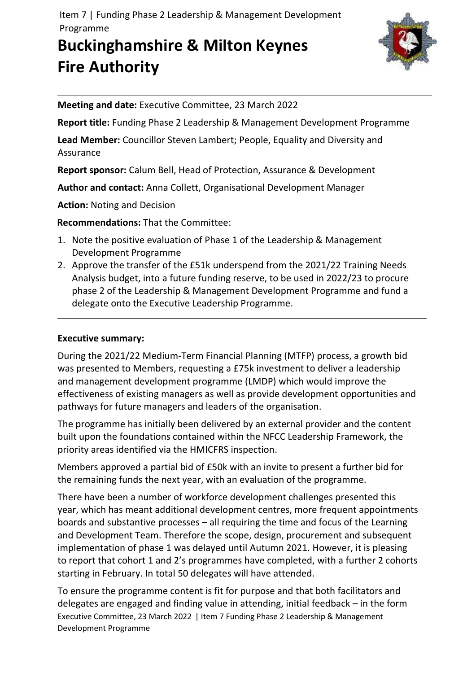Item 7 | Funding Phase 2 Leadership & Management Development Programme

# **Buckinghamshire & Milton Keynes Fire Authority**



**Meeting and date:** Executive Committee, 23 March 2022

**Report title:** Funding Phase 2 Leadership & Management Development Programme

**Lead Member:** Councillor Steven Lambert; People, Equality and Diversity and Assurance

**Report sponsor:** Calum Bell, Head of Protection, Assurance & Development

**Author and contact:** Anna Collett, Organisational Development Manager

**Action:** Noting and Decision

**Recommendations:** That the Committee:

- 1. Note the positive evaluation of Phase 1 of the Leadership & Management Development Programme
- 2. Approve the transfer of the £51k underspend from the 2021/22 Training Needs Analysis budget, into a future funding reserve, to be used in 2022/23 to procure phase 2 of the Leadership & Management Development Programme and fund a delegate onto the Executive Leadership Programme.

## **Executive summary:**

During the 2021/22 Medium-Term Financial Planning (MTFP) process, a growth bid was presented to Members, requesting a £75k investment to deliver a leadership and management development programme (LMDP) which would improve the effectiveness of existing managers as well as provide development opportunities and pathways for future managers and leaders of the organisation.

The programme has initially been delivered by an external provider and the content built upon the foundations contained within the NFCC Leadership Framework, the priority areas identified via the HMICFRS inspection.

Members approved a partial bid of £50k with an invite to present a further bid for the remaining funds the next year, with an evaluation of the programme.

There have been a number of workforce development challenges presented this year, which has meant additional development centres, more frequent appointments boards and substantive processes – all requiring the time and focus of the Learning and Development Team. Therefore the scope, design, procurement and subsequent implementation of phase 1 was delayed until Autumn 2021. However, it is pleasing to report that cohort 1 and 2's programmes have completed, with a further 2 cohorts starting in February. In total 50 delegates will have attended.

Executive Committee, 23 March 2022 | Item 7 Funding Phase 2 Leadership & Management Development Programme To ensure the programme content is fit for purpose and that both facilitators and delegates are engaged and finding value in attending, initial feedback – in the form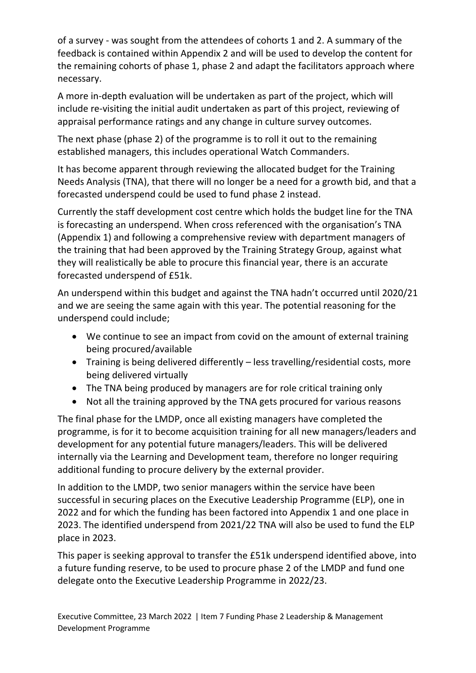of a survey - was sought from the attendees of cohorts 1 and 2. A summary of the feedback is contained within Appendix 2 and will be used to develop the content for the remaining cohorts of phase 1, phase 2 and adapt the facilitators approach where necessary.

A more in-depth evaluation will be undertaken as part of the project, which will include re-visiting the initial audit undertaken as part of this project, reviewing of appraisal performance ratings and any change in culture survey outcomes.

The next phase (phase 2) of the programme is to roll it out to the remaining established managers, this includes operational Watch Commanders.

It has become apparent through reviewing the allocated budget for the Training Needs Analysis (TNA), that there will no longer be a need for a growth bid, and that a forecasted underspend could be used to fund phase 2 instead.

Currently the staff development cost centre which holds the budget line for the TNA is forecasting an underspend. When cross referenced with the organisation's TNA (Appendix 1) and following a comprehensive review with department managers of the training that had been approved by the Training Strategy Group, against what they will realistically be able to procure this financial year, there is an accurate forecasted underspend of £51k.

An underspend within this budget and against the TNA hadn't occurred until 2020/21 and we are seeing the same again with this year. The potential reasoning for the underspend could include;

- We continue to see an impact from covid on the amount of external training being procured/available
- Training is being delivered differently less travelling/residential costs, more being delivered virtually
- The TNA being produced by managers are for role critical training only
- Not all the training approved by the TNA gets procured for various reasons

The final phase for the LMDP, once all existing managers have completed the programme, is for it to become acquisition training for all new managers/leaders and development for any potential future managers/leaders. This will be delivered internally via the Learning and Development team, therefore no longer requiring additional funding to procure delivery by the external provider.

In addition to the LMDP, two senior managers within the service have been successful in securing places on the Executive Leadership Programme (ELP), one in 2022 and for which the funding has been factored into Appendix 1 and one place in 2023. The identified underspend from 2021/22 TNA will also be used to fund the ELP place in 2023.

This paper is seeking approval to transfer the £51k underspend identified above, into a future funding reserve, to be used to procure phase 2 of the LMDP and fund one delegate onto the Executive Leadership Programme in 2022/23.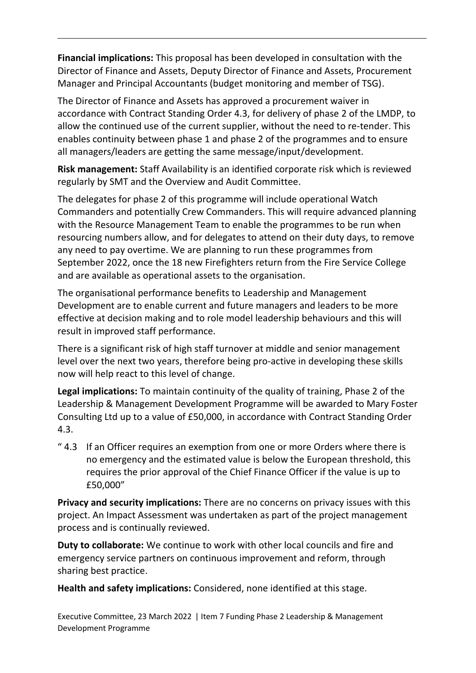**Financial implications:** This proposal has been developed in consultation with the Director of Finance and Assets, Deputy Director of Finance and Assets, Procurement Manager and Principal Accountants (budget monitoring and member of TSG).

The Director of Finance and Assets has approved a procurement waiver in accordance with Contract Standing Order 4.3, for delivery of phase 2 of the LMDP, to allow the continued use of the current supplier, without the need to re-tender. This enables continuity between phase 1 and phase 2 of the programmes and to ensure all managers/leaders are getting the same message/input/development.

**Risk management:** Staff Availability is an identified corporate risk which is reviewed regularly by SMT and the Overview and Audit Committee.

The delegates for phase 2 of this programme will include operational Watch Commanders and potentially Crew Commanders. This will require advanced planning with the Resource Management Team to enable the programmes to be run when resourcing numbers allow, and for delegates to attend on their duty days, to remove any need to pay overtime. We are planning to run these programmes from September 2022, once the 18 new Firefighters return from the Fire Service College and are available as operational assets to the organisation.

The organisational performance benefits to Leadership and Management Development are to enable current and future managers and leaders to be more effective at decision making and to role model leadership behaviours and this will result in improved staff performance.

There is a significant risk of high staff turnover at middle and senior management level over the next two years, therefore being pro-active in developing these skills now will help react to this level of change.

**Legal implications:** To maintain continuity of the quality of training, Phase 2 of the Leadership & Management Development Programme will be awarded to Mary Foster Consulting Ltd up to a value of £50,000, in accordance with Contract Standing Order 4.3.

" 4.3 If an Officer requires an exemption from one or more Orders where there is no emergency and the estimated value is below the European threshold, this requires the prior approval of the Chief Finance Officer if the value is up to £50,000"

**Privacy and security implications:** There are no concerns on privacy issues with this project. An Impact Assessment was undertaken as part of the project management process and is continually reviewed.

**Duty to collaborate:** We continue to work with other local councils and fire and emergency service partners on continuous improvement and reform, through sharing best practice.

**Health and safety implications:** Considered, none identified at this stage.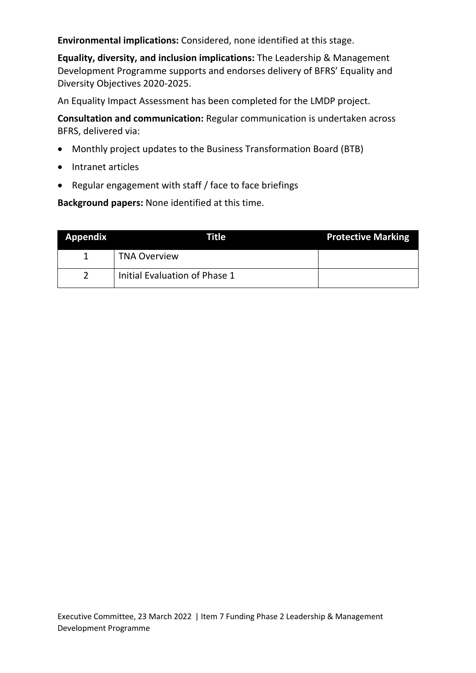**Environmental implications:** Considered, none identified at this stage.

**Equality, diversity, and inclusion implications:** The Leadership & Management Development Programme supports and endorses delivery of BFRS' Equality and Diversity Objectives 2020-2025.

An Equality Impact Assessment has been completed for the LMDP project.

**Consultation and communication:** Regular communication is undertaken across BFRS, delivered via:

- Monthly project updates to the Business Transformation Board (BTB)
- Intranet articles
- Regular engagement with staff / face to face briefings

**Background papers:** None identified at this time.

| <b>Appendix</b> | Title                         | <b>Protective Marking</b> |
|-----------------|-------------------------------|---------------------------|
|                 | <b>TNA Overview</b>           |                           |
| າ               | Initial Evaluation of Phase 1 |                           |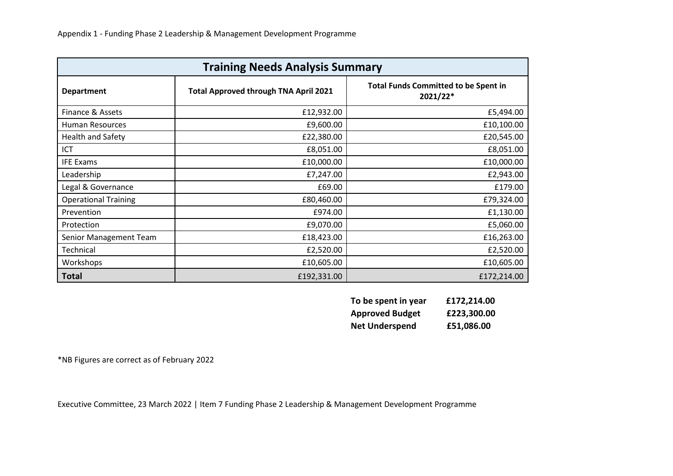| <b>Training Needs Analysis Summary</b> |                                              |                                                         |  |  |
|----------------------------------------|----------------------------------------------|---------------------------------------------------------|--|--|
| <b>Department</b>                      | <b>Total Approved through TNA April 2021</b> | <b>Total Funds Committed to be Spent in</b><br>2021/22* |  |  |
| Finance & Assets                       | £12,932.00                                   | £5,494.00                                               |  |  |
| Human Resources                        | £9,600.00                                    | £10,100.00                                              |  |  |
| <b>Health and Safety</b>               | £22,380.00                                   | £20,545.00                                              |  |  |
| ICT                                    | £8,051.00                                    | £8,051.00                                               |  |  |
| <b>IFE Exams</b>                       | £10,000.00                                   | £10,000.00                                              |  |  |
| Leadership                             | £7,247.00                                    | £2,943.00                                               |  |  |
| Legal & Governance                     | £69.00                                       | £179.00                                                 |  |  |
| <b>Operational Training</b>            | £80,460.00                                   | £79,324.00                                              |  |  |
| Prevention                             | £974.00                                      | £1,130.00                                               |  |  |
| Protection                             | £9,070.00                                    | £5,060.00                                               |  |  |
| Senior Management Team                 | £18,423.00                                   | £16,263.00                                              |  |  |
| Technical                              | £2,520.00                                    | £2,520.00                                               |  |  |
| Workshops                              | £10,605.00                                   | £10,605.00                                              |  |  |
| <b>Total</b>                           | £192,331.00                                  | £172,214.00                                             |  |  |

| To be spent in year    | £172,214.00 |
|------------------------|-------------|
| <b>Approved Budget</b> | £223,300.00 |
| <b>Net Underspend</b>  | £51,086.00  |

\*NB Figures are correct as of February 2022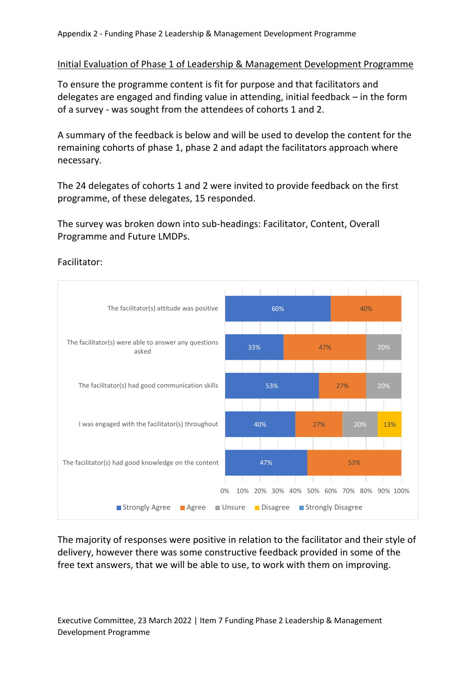#### Initial Evaluation of Phase 1 of Leadership & Management Development Programme

To ensure the programme content is fit for purpose and that facilitators and delegates are engaged and finding value in attending, initial feedback – in the form of a survey - was sought from the attendees of cohorts 1 and 2.

A summary of the feedback is below and will be used to develop the content for the remaining cohorts of phase 1, phase 2 and adapt the facilitators approach where necessary.

The 24 delegates of cohorts 1 and 2 were invited to provide feedback on the first programme, of these delegates, 15 responded.

The survey was broken down into sub-headings: Facilitator, Content, Overall Programme and Future LMDPs.



Facilitator:

The majority of responses were positive in relation to the facilitator and their style of delivery, however there was some constructive feedback provided in some of the free text answers, that we will be able to use, to work with them on improving.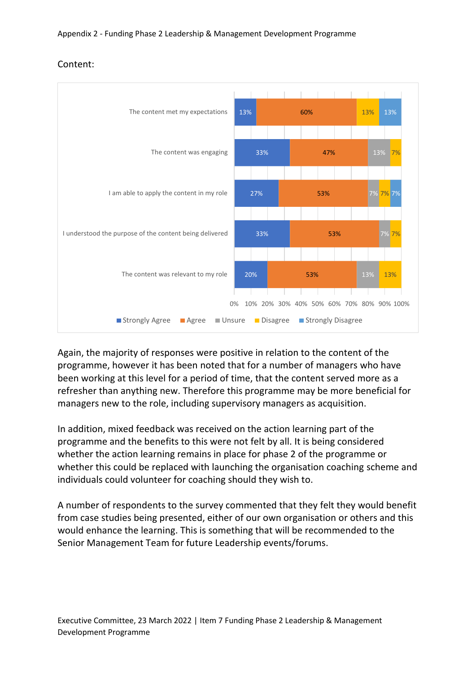

## Content:

Again, the majority of responses were positive in relation to the content of the programme, however it has been noted that for a number of managers who have been working at this level for a period of time, that the content served more as a refresher than anything new. Therefore this programme may be more beneficial for managers new to the role, including supervisory managers as acquisition.

In addition, mixed feedback was received on the action learning part of the programme and the benefits to this were not felt by all. It is being considered whether the action learning remains in place for phase 2 of the programme or whether this could be replaced with launching the organisation coaching scheme and individuals could volunteer for coaching should they wish to.

A number of respondents to the survey commented that they felt they would benefit from case studies being presented, either of our own organisation or others and this would enhance the learning. This is something that will be recommended to the Senior Management Team for future Leadership events/forums.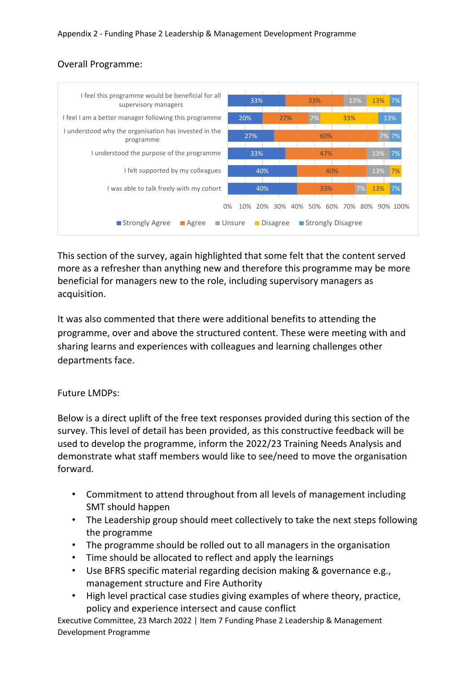## Overall Programme:



This section of the survey, again highlighted that some felt that the content served more as a refresher than anything new and therefore this programme may be more beneficial for managers new to the role, including supervisory managers as acquisition.

It was also commented that there were additional benefits to attending the programme, over and above the structured content. These were meeting with and sharing learns and experiences with colleagues and learning challenges other departments face.

### Future LMDPs:

Below is a direct uplift of the free text responses provided during this section of the survey. This level of detail has been provided, as this constructive feedback will be used to develop the programme, inform the 2022/23 Training Needs Analysis and demonstrate what staff members would like to see/need to move the organisation forward.

- Commitment to attend throughout from all levels of management including SMT should happen
- The Leadership group should meet collectively to take the next steps following the programme
- The programme should be rolled out to all managers in the organisation
- Time should be allocated to reflect and apply the learnings
- Use BFRS specific material regarding decision making & governance e.g., management structure and Fire Authority
- High level practical case studies giving examples of where theory, practice, policy and experience intersect and cause conflict